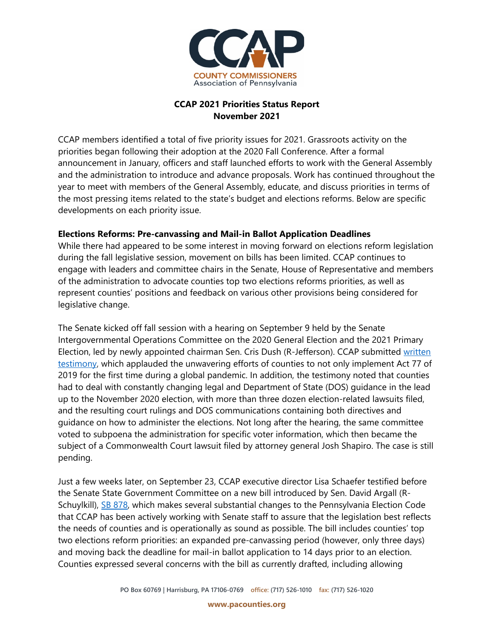

## **CCAP 2021 Priorities Status Report November 2021**

CCAP members identified a total of five priority issues for 2021. Grassroots activity on the priorities began following their adoption at the 2020 Fall Conference. After a formal announcement in January, officers and staff launched efforts to work with the General Assembly and the administration to introduce and advance proposals. Work has continued throughout the year to meet with members of the General Assembly, educate, and discuss priorities in terms of the most pressing items related to the state's budget and elections reforms. Below are specific developments on each priority issue.

## **Elections Reforms: Pre-canvassing and Mail-in Ballot Application Deadlines**

While there had appeared to be some interest in moving forward on elections reform legislation during the fall legislative session, movement on bills has been limited. CCAP continues to engage with leaders and committee chairs in the Senate, House of Representative and members of the administration to advocate counties top two elections reforms priorities, as well as represent counties' positions and feedback on various other provisions being considered for legislative change.

The Senate kicked off fall session with a hearing on September 9 held by the Senate Intergovernmental Operations Committee on the 2020 General Election and the 2021 Primary Election, led by newly appointed chairman Sen. Cris Dush (R-Jefferson). CCAP submitted [written](https://staffportal.pacounties.org/committees/branding/Shared%20Documents/BRANDING%20GUIDE%20revised%2020210205%20PDF.pdfhttps:/www.pacounties.org/getmedia/6f1803c9-fbd8-43fa-827c-1a0c2423f119/20210909ElectionsTestimonySenateIntergov.pdf)  [testimony,](https://staffportal.pacounties.org/committees/branding/Shared%20Documents/BRANDING%20GUIDE%20revised%2020210205%20PDF.pdfhttps:/www.pacounties.org/getmedia/6f1803c9-fbd8-43fa-827c-1a0c2423f119/20210909ElectionsTestimonySenateIntergov.pdf) which applauded the unwavering efforts of counties to not only implement Act 77 of 2019 for the first time during a global pandemic. In addition, the testimony noted that counties had to deal with constantly changing legal and Department of State (DOS) guidance in the lead up to the November 2020 election, with more than three dozen election-related lawsuits filed, and the resulting court rulings and DOS communications containing both directives and guidance on how to administer the elections. Not long after the hearing, the same committee voted to subpoena the administration for specific voter information, which then became the subject of a Commonwealth Court lawsuit filed by attorney general Josh Shapiro. The case is still pending.

Just a few weeks later, on September 23, CCAP executive director Lisa Schaefer testified before the Senate State Government Committee on a new bill introduced by Sen. David Argall (R-Schuylkill), [SB 878,](https://r20.rs6.net/tn.jsp?f=001ZM30rSYhhGs2oh1ePB_7anFgM_eZ6l5kat_9g2jQL_6Rbpqyh3BkTr05ZrP0KP_TDhzO_n6F_QkotG12q_8MPAvkxWOkzo96dS4RlFb54L5aP_q09CujlUwyS_Zter9QwMFdJk9wTAYT9vdL9jhVIZaq02XVosjk1Un2A8FmrnybQ6MyxFcEwZ6KhDsBRHrLXeQZJp52sApECWvxBsDm1eCEx_FAG3-i3JtaFjP-pF7XpUfNLayrf2uuVlK7Ki_MI5flDbmj6FiIE1Zt1QUeNw==&c=8F5QVMiG13VaejwYPFE-K2LcJB30Dc_XDc995xa6FfpDedkY1-o5Lg==&ch=kndZGAYZSMMlWvCs_o22D1C6QEgisMQjlyHGRroSqER3zP60THN94Q==) which makes several substantial changes to the Pennsylvania Election Code that CCAP has been actively working with Senate staff to assure that the legislation best reflects the needs of counties and is operationally as sound as possible. The bill includes counties' top two elections reform priorities: an expanded pre-canvassing period (however, only three days) and moving back the deadline for mail-in ballot application to 14 days prior to an election. Counties expressed several concerns with the bill as currently drafted, including allowing

**www.pacounties.org**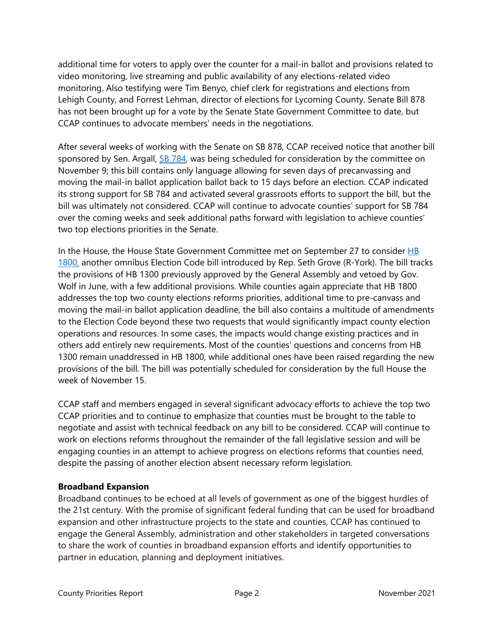additional time for voters to apply over the counter for a mail-in ballot and provisions related to video monitoring, live streaming and public availability of any elections-related video monitoring. Also testifying were Tim Benyo, chief clerk for registrations and elections from Lehigh County, and Forrest Lehman, director of elections for Lycoming County. Senate Bill 878 has not been brought up for a vote by the Senate State Government Committee to date, but CCAP continues to advocate members' needs in the negotiations.

After several weeks of working with the Senate on SB 878, CCAP received notice that another bill sponsored by Sen. Argall, [SB 784,](https://www.legis.state.pa.us/cfdocs/billInfo/billInfo.cfm?sYear=2021&sInd=0&body=S&type=B&bn=0784) was being scheduled for consideration by the committee on November 9; this bill contains only language allowing for seven days of precanvassing and moving the mail-in ballot application ballot back to 15 days before an election. CCAP indicated its strong support for SB 784 and activated several grassroots efforts to support the bill, but the bill was ultimately not considered. CCAP will continue to advocate counties' support for SB 784 over the coming weeks and seek additional paths forward with legislation to achieve counties' two top elections priorities in the Senate.

In the House, the House State Government Committee met on September 27 to consider HB [1800,](https://r20.rs6.net/tn.jsp?f=0019TXFlgossdjPFJ4Gj40g9vdHN54bZG8sALCfgUKQkKtZZu9fSkUnv4D6Hol75yObiQ3B4H6Qy2Ry5tVrLSnkZs-0BS6RPAUiIhxNq42GiBQ_sRv1eXw5xkUUcKjHa9Pto37-aYgZ4w-kEWJv_-wclnvBwNm2vgoG4M2YPjuyqiusSorfOfyhZUlyzTvkRtK-uo2YQC6y3qRab5T2VLI31QO_K0EHmZAmPiCoBrFi-lCrUV2lPjpBRF0ETvrxB1ID9r4ct7TwWBLCr0MXTwWNUw==&c=aR8vEQPZ0_bQDvPQPZlF7Wi03kJeOdrcIRq6H2KT6MGlIFhFt4YV4Q==&ch=Uqk5TQZx9rEU8sE-iI4Szz-ySr3404IYMaz4s8L0gjr0aYfvHD6rIA==) another omnibus Election Code bill introduced by Rep. Seth Grove (R-York). The bill tracks the provisions of HB 1300 previously approved by the General Assembly and vetoed by Gov. Wolf in June, with a few additional provisions. While counties again appreciate that HB 1800 addresses the top two county elections reforms priorities, additional time to pre-canvass and moving the mail-in ballot application deadline, the bill also contains a multitude of amendments to the Election Code beyond these two requests that would significantly impact county election operations and resources. In some cases, the impacts would change existing practices and in others add entirely new requirements. Most of the counties' questions and concerns from HB 1300 remain unaddressed in HB 1800, while additional ones have been raised regarding the new provisions of the bill. The bill was potentially scheduled for consideration by the full House the week of November 15.

CCAP staff and members engaged in several significant advocacy efforts to achieve the top two CCAP priorities and to continue to emphasize that counties must be brought to the table to negotiate and assist with technical feedback on any bill to be considered. CCAP will continue to work on elections reforms throughout the remainder of the fall legislative session and will be engaging counties in an attempt to achieve progress on elections reforms that counties need, despite the passing of another election absent necessary reform legislation.

#### **Broadband Expansion**

Broadband continues to be echoed at all levels of government as one of the biggest hurdles of the 21st century. With the promise of significant federal funding that can be used for broadband expansion and other infrastructure projects to the state and counties, CCAP has continued to engage the General Assembly, administration and other stakeholders in targeted conversations to share the work of counties in broadband expansion efforts and identify opportunities to partner in education, planning and deployment initiatives.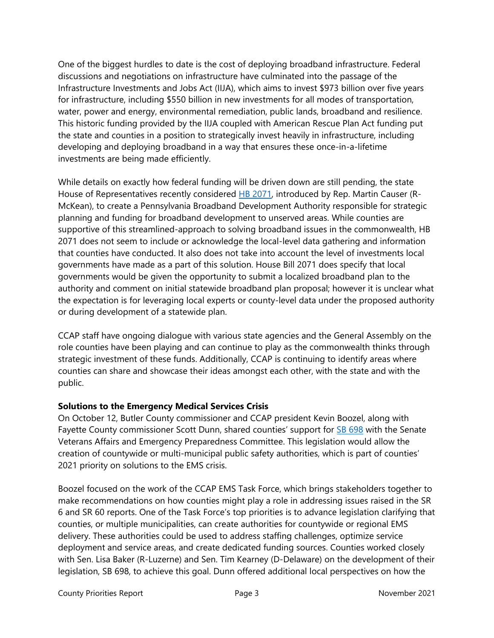One of the biggest hurdles to date is the cost of deploying broadband infrastructure. Federal discussions and negotiations on infrastructure have culminated into the passage of the Infrastructure Investments and Jobs Act (IIJA), which aims to invest \$973 billion over five years for infrastructure, including \$550 billion in new investments for all modes of transportation, water, power and energy, environmental remediation, public lands, broadband and resilience. This historic funding provided by the IIJA coupled with American Rescue Plan Act funding put the state and counties in a position to strategically invest heavily in infrastructure, including developing and deploying broadband in a way that ensures these once-in-a-lifetime investments are being made efficiently.

While details on exactly how federal funding will be driven down are still pending, the state House of Representatives recently considered [HB 2071,](https://www.legis.state.pa.us/cfdocs/billInfo/billInfo.cfm?sYear=2021&sInd=0&body=H&type=B&bn=2071) introduced by Rep. Martin Causer (R-McKean), to create a Pennsylvania Broadband Development Authority responsible for strategic planning and funding for broadband development to unserved areas. While counties are supportive of this streamlined-approach to solving broadband issues in the commonwealth, HB 2071 does not seem to include or acknowledge the local-level data gathering and information that counties have conducted. It also does not take into account the level of investments local governments have made as a part of this solution. House Bill 2071 does specify that local governments would be given the opportunity to submit a localized broadband plan to the authority and comment on initial statewide broadband plan proposal; however it is unclear what the expectation is for leveraging local experts or county-level data under the proposed authority or during development of a statewide plan.

CCAP staff have ongoing dialogue with various state agencies and the General Assembly on the role counties have been playing and can continue to play as the commonwealth thinks through strategic investment of these funds. Additionally, CCAP is continuing to identify areas where counties can share and showcase their ideas amongst each other, with the state and with the public.

# **Solutions to the Emergency Medical Services Crisis**

On October 12, Butler County commissioner and CCAP president Kevin Boozel, along with Fayette County commissioner Scott Dunn, shared counties' support for [SB 698](https://www.legis.state.pa.us/cfdocs/billInfo/billInfo.cfm?sYear=2021&sInd=0&body=S&type=B&bn=0698) with the Senate Veterans Affairs and Emergency Preparedness Committee. This legislation would allow the creation of countywide or multi-municipal public safety authorities, which is part of counties' 2021 priority on solutions to the EMS crisis.

Boozel focused on the work of the CCAP EMS Task Force, which brings stakeholders together to make recommendations on how counties might play a role in addressing issues raised in the SR 6 and SR 60 reports. One of the Task Force's top priorities is to advance legislation clarifying that counties, or multiple municipalities, can create authorities for countywide or regional EMS delivery. These authorities could be used to address staffing challenges, optimize service deployment and service areas, and create dedicated funding sources. Counties worked closely with Sen. Lisa Baker (R-Luzerne) and Sen. Tim Kearney (D-Delaware) on the development of their legislation, SB 698, to achieve this goal. Dunn offered additional local perspectives on how the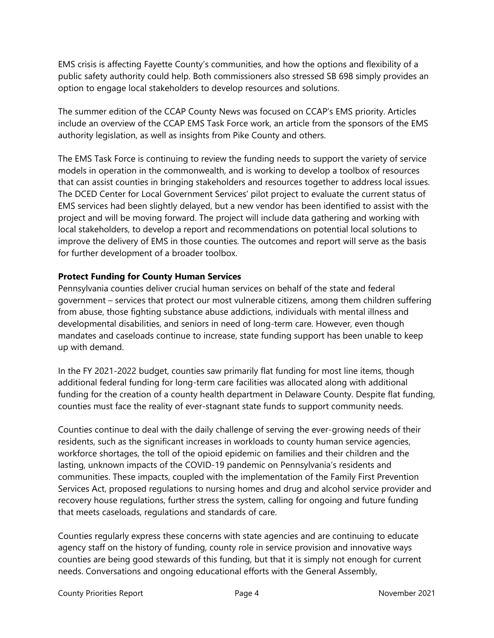EMS crisis is affecting Fayette County's communities, and how the options and flexibility of a public safety authority could help. Both commissioners also stressed SB 698 simply provides an option to engage local stakeholders to develop resources and solutions.

The summer edition of the CCAP County News was focused on CCAP's EMS priority. Articles include an overview of the CCAP EMS Task Force work, an article from the sponsors of the EMS authority legislation, as well as insights from Pike County and others.

The EMS Task Force is continuing to review the funding needs to support the variety of service models in operation in the commonwealth, and is working to develop a toolbox of resources that can assist counties in bringing stakeholders and resources together to address local issues. The DCED Center for Local Government Services' pilot project to evaluate the current status of EMS services had been slightly delayed, but a new vendor has been identified to assist with the project and will be moving forward. The project will include data gathering and working with local stakeholders, to develop a report and recommendations on potential local solutions to improve the delivery of EMS in those counties. The outcomes and report will serve as the basis for further development of a broader toolbox.

## **Protect Funding for County Human Services**

Pennsylvania counties deliver crucial human services on behalf of the state and federal government – services that protect our most vulnerable citizens, among them children suffering from abuse, those fighting substance abuse addictions, individuals with mental illness and developmental disabilities, and seniors in need of long-term care. However, even though mandates and caseloads continue to increase, state funding support has been unable to keep up with demand.

In the FY 2021-2022 budget, counties saw primarily flat funding for most line items, though additional federal funding for long-term care facilities was allocated along with additional funding for the creation of a county health department in Delaware County. Despite flat funding, counties must face the reality of ever-stagnant state funds to support community needs.

Counties continue to deal with the daily challenge of serving the ever-growing needs of their residents, such as the significant increases in workloads to county human service agencies, workforce shortages, the toll of the opioid epidemic on families and their children and the lasting, unknown impacts of the COVID-19 pandemic on Pennsylvania's residents and communities. These impacts, coupled with the implementation of the Family First Prevention Services Act, proposed regulations to nursing homes and drug and alcohol service provider and recovery house regulations, further stress the system, calling for ongoing and future funding that meets caseloads, regulations and standards of care.

Counties regularly express these concerns with state agencies and are continuing to educate agency staff on the history of funding, county role in service provision and innovative ways counties are being good stewards of this funding, but that it is simply not enough for current needs. Conversations and ongoing educational efforts with the General Assembly,